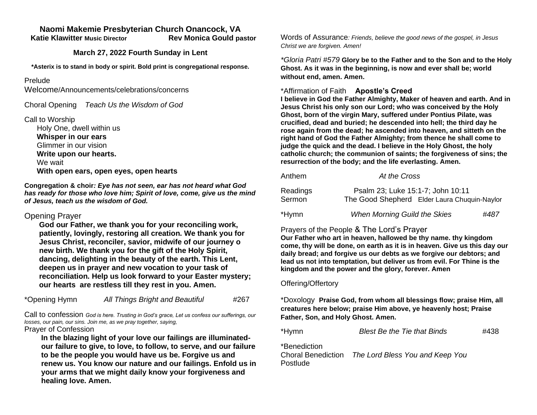# **Naomi Makemie Presbyterian Church Onancock, VA**

 **Katie Klawitter Music Director Rev Monica Gould pastor**

### **March 27, 2022 Fourth Sunday in Lent**

**\*Asterix is to stand in body or spirit. Bold print is congregational response.**

#### Prelude

Welcome/Announcements/celebrations/concerns

Choral Opening *Teach Us the Wisdom of God*

Call to Worship

 Holy One, dwell within us  **Whisper in our ears** Glimmer in our vision  **Write upon our hearts.** We wait  **With open ears, open eyes, open hearts**

**Congregation & choir***: Eye has not seen, ear has not heard what God has ready for those who love him; Spirit of love, come, give us the mind of Jesus, teach us the wisdom of God.* 

# Opening Prayer

**God our Father, we thank you for your reconciling work, patiently, lovingly, restoring all creation. We thank you for Jesus Christ, reconciler, savior, midwife of our journey o new birth. We thank you for the gift of the Holy Spirit, dancing, delighting in the beauty of the earth. This Lent, deepen us in prayer and new vocation to your task of reconciliation. Help us look forward to your Easter mystery; our hearts are restless till they rest in you. Amen.**

| *Opening Hymn | All Things Bright and Beautiful | #267 |
|---------------|---------------------------------|------|
|---------------|---------------------------------|------|

Call to confession *God is here. Trusting in God's grace, Let us confess our sufferings, our losses, our pain, our sins. Join me, as we pray together, saying,*

Prayer of Confession

**In the blazing light of your love our failings are illuminatedour failure to give, to love, to follow, to serve, and our failure to be the people you would have us be. Forgive us and renew us. You know our nature and our failings. Enfold us in your arms that we might daily know your forgiveness and healing love. Amen.** 

Words of Assurance*: Friends, believe the good news of the gospel, in Jesus Christ we are forgiven. Amen!*

*\*Gloria Patri #579* **Glory be to the Father and to the Son and to the Holy Ghost. As it was in the beginning, is now and ever shall be; world without end, amen. Amen.** 

### \*Affirmation of Faith **Apostle's Creed**

**I believe in God the Father Almighty, Maker of heaven and earth. And in Jesus Christ his only son our Lord; who was conceived by the Holy Ghost, born of the virgin Mary, suffered under Pontius Pilate, was crucified, dead and buried; he descended into hell; the third day he rose again from the dead; he ascended into heaven, and sitteth on the right hand of God the Father Almighty; from thence he shall come to judge the quick and the dead. I believe in the Holy Ghost, the holy catholic church; the communion of saints; the forgiveness of sins; the resurrection of the body; and the life everlasting. Amen.**

| Anthem             | At the Cross                                                                      |      |
|--------------------|-----------------------------------------------------------------------------------|------|
| Readings<br>Sermon | Psalm 23; Luke 15:1-7; John 10:11<br>The Good Shepherd Elder Laura Chuquin-Naylor |      |
| *Hymn              | <b>When Morning Guild the Skies</b>                                               | #487 |

# Prayers of the People & The Lord's Prayer

**Our Father who art in heaven, hallowed be thy name. thy kingdom come, thy will be done, on earth as it is in heaven. Give us this day our daily bread; and forgive us our debts as we forgive our debtors; and lead us not into temptation, but deliver us from evil. For Thine is the kingdom and the power and the glory, forever. Amen**

### Offering/Offertory

\*Doxology **Praise God, from whom all blessings flow; praise Him, all creatures here below; praise Him above, ye heavenly host; Praise Father, Son, and Holy Ghost. Amen.** 

| *Hymn        | <b>Blest Be the Tie that Binds</b>                 | #438 |
|--------------|----------------------------------------------------|------|
| *Benediction |                                                    |      |
|              | Choral Benediction The Lord Bless You and Keep You |      |

Postlude